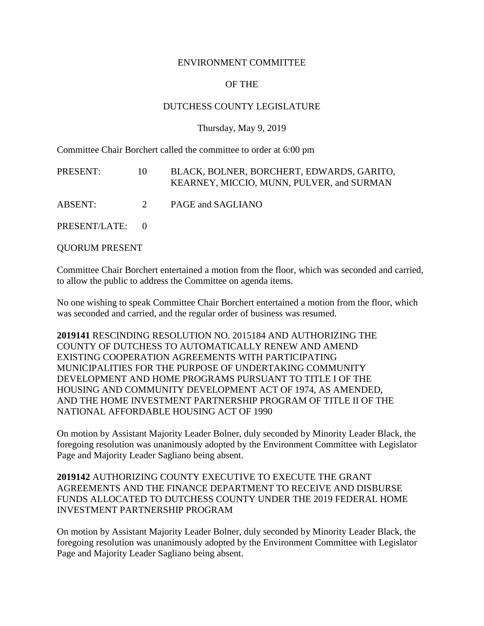### ENVIRONMENT COMMITTEE

# OF THE

## DUTCHESS COUNTY LEGISLATURE

#### Thursday, May 9, 2019

Committee Chair Borchert called the committee to order at 6:00 pm

| PRESENT:        | 10 | BLACK, BOLNER, BORCHERT, EDWARDS, GARITO,<br>KEARNEY, MICCIO, MUNN, PULVER, and SURMAN |
|-----------------|----|----------------------------------------------------------------------------------------|
| ABSENT:         | 2  | PAGE and SAGLIANO                                                                      |
| PRESENT/LATE: 0 |    |                                                                                        |

QUORUM PRESENT

Committee Chair Borchert entertained a motion from the floor, which was seconded and carried, to allow the public to address the Committee on agenda items.

No one wishing to speak Committee Chair Borchert entertained a motion from the floor, which was seconded and carried, and the regular order of business was resumed.

**2019141** RESCINDING RESOLUTION NO. 2015184 AND AUTHORIZING THE COUNTY OF DUTCHESS TO AUTOMATICALLY RENEW AND AMEND EXISTING COOPERATION AGREEMENTS WITH PARTICIPATING MUNICIPALITIES FOR THE PURPOSE OF UNDERTAKING COMMUNITY DEVELOPMENT AND HOME PROGRAMS PURSUANT TO TITLE I OF THE HOUSING AND COMMUNITY DEVELOPMENT ACT OF 1974, AS AMENDED, AND THE HOME INVESTMENT PARTNERSHIP PROGRAM OF TITLE II OF THE NATIONAL AFFORDABLE HOUSING ACT OF 1990

On motion by Assistant Majority Leader Bolner, duly seconded by Minority Leader Black, the foregoing resolution was unanimously adopted by the Environment Committee with Legislator Page and Majority Leader Sagliano being absent.

## **2019142** AUTHORIZING COUNTY EXECUTIVE TO EXECUTE THE GRANT AGREEMENTS AND THE FINANCE DEPARTMENT TO RECEIVE AND DISBURSE FUNDS ALLOCATED TO DUTCHESS COUNTY UNDER THE 2019 FEDERAL HOME INVESTMENT PARTNERSHIP PROGRAM

On motion by Assistant Majority Leader Bolner, duly seconded by Minority Leader Black, the foregoing resolution was unanimously adopted by the Environment Committee with Legislator Page and Majority Leader Sagliano being absent.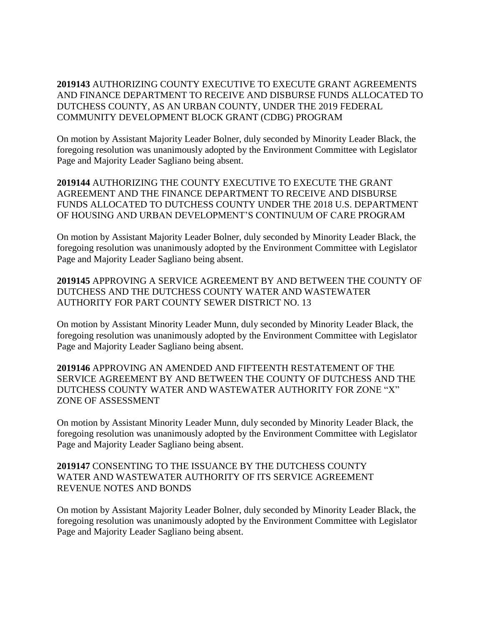**2019143** AUTHORIZING COUNTY EXECUTIVE TO EXECUTE GRANT AGREEMENTS AND FINANCE DEPARTMENT TO RECEIVE AND DISBURSE FUNDS ALLOCATED TO DUTCHESS COUNTY, AS AN URBAN COUNTY, UNDER THE 2019 FEDERAL COMMUNITY DEVELOPMENT BLOCK GRANT (CDBG) PROGRAM

On motion by Assistant Majority Leader Bolner, duly seconded by Minority Leader Black, the foregoing resolution was unanimously adopted by the Environment Committee with Legislator Page and Majority Leader Sagliano being absent.

**2019144** AUTHORIZING THE COUNTY EXECUTIVE TO EXECUTE THE GRANT AGREEMENT AND THE FINANCE DEPARTMENT TO RECEIVE AND DISBURSE FUNDS ALLOCATED TO DUTCHESS COUNTY UNDER THE 2018 U.S. DEPARTMENT OF HOUSING AND URBAN DEVELOPMENT'S CONTINUUM OF CARE PROGRAM

On motion by Assistant Majority Leader Bolner, duly seconded by Minority Leader Black, the foregoing resolution was unanimously adopted by the Environment Committee with Legislator Page and Majority Leader Sagliano being absent.

**2019145** APPROVING A SERVICE AGREEMENT BY AND BETWEEN THE COUNTY OF DUTCHESS AND THE DUTCHESS COUNTY WATER AND WASTEWATER AUTHORITY FOR PART COUNTY SEWER DISTRICT NO. 13

On motion by Assistant Minority Leader Munn, duly seconded by Minority Leader Black, the foregoing resolution was unanimously adopted by the Environment Committee with Legislator Page and Majority Leader Sagliano being absent.

**2019146** APPROVING AN AMENDED AND FIFTEENTH RESTATEMENT OF THE SERVICE AGREEMENT BY AND BETWEEN THE COUNTY OF DUTCHESS AND THE DUTCHESS COUNTY WATER AND WASTEWATER AUTHORITY FOR ZONE "X" ZONE OF ASSESSMENT

On motion by Assistant Minority Leader Munn, duly seconded by Minority Leader Black, the foregoing resolution was unanimously adopted by the Environment Committee with Legislator Page and Majority Leader Sagliano being absent.

# **2019147** CONSENTING TO THE ISSUANCE BY THE DUTCHESS COUNTY WATER AND WASTEWATER AUTHORITY OF ITS SERVICE AGREEMENT REVENUE NOTES AND BONDS

On motion by Assistant Majority Leader Bolner, duly seconded by Minority Leader Black, the foregoing resolution was unanimously adopted by the Environment Committee with Legislator Page and Majority Leader Sagliano being absent.